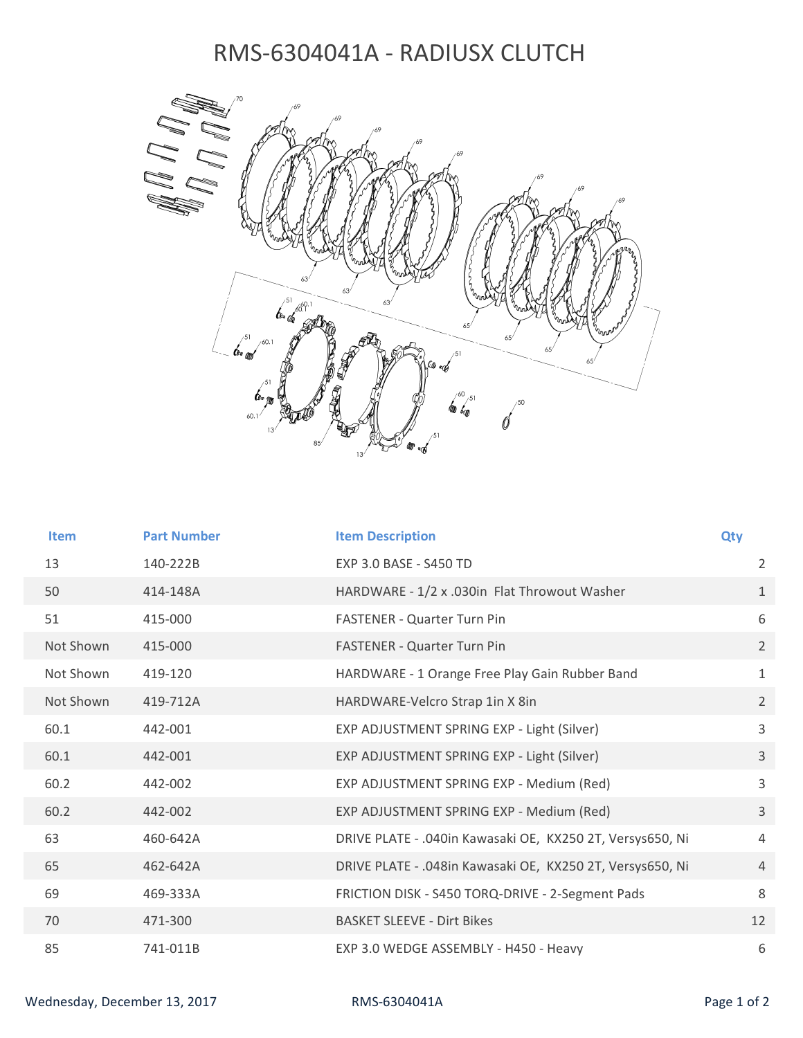## RMS-6304041A - RADIUSX CLUTCH



| <b>Item</b> | <b>Part Number</b> | <b>Item Description</b>                                   | Qty            |
|-------------|--------------------|-----------------------------------------------------------|----------------|
| 13          | 140-222B           | <b>EXP 3.0 BASE - S450 TD</b>                             | $\overline{2}$ |
| 50          | 414-148A           | HARDWARE - 1/2 x .030in Flat Throwout Washer              | $\mathbf{1}$   |
| 51          | 415-000            | <b>FASTENER - Quarter Turn Pin</b>                        | 6              |
| Not Shown   | 415-000            | FASTENER - Quarter Turn Pin                               | $2^{\circ}$    |
| Not Shown   | 419-120            | HARDWARE - 1 Orange Free Play Gain Rubber Band            | $\mathbf{1}$   |
| Not Shown   | 419-712A           | HARDWARE-Velcro Strap 1in X 8in                           | $\overline{2}$ |
| 60.1        | 442-001            | EXP ADJUSTMENT SPRING EXP - Light (Silver)                | 3              |
| 60.1        | 442-001            | EXP ADJUSTMENT SPRING EXP - Light (Silver)                | 3              |
| 60.2        | 442-002            | EXP ADJUSTMENT SPRING EXP - Medium (Red)                  | 3              |
| 60.2        | 442-002            | EXP ADJUSTMENT SPRING EXP - Medium (Red)                  | $\overline{3}$ |
| 63          | 460-642A           | DRIVE PLATE - .040in Kawasaki OE, KX250 2T, Versys650, Ni | 4              |
| 65          | 462-642A           | DRIVE PLATE - .048in Kawasaki OE, KX250 2T, Versys650, Ni | $\overline{4}$ |
| 69          | 469-333A           | FRICTION DISK - S450 TORQ-DRIVE - 2-Segment Pads          | 8              |
| 70          | 471-300            | <b>BASKET SLEEVE - Dirt Bikes</b>                         | 12             |
| 85          | 741-011B           | EXP 3.0 WEDGE ASSEMBLY - H450 - Heavy                     | 6              |